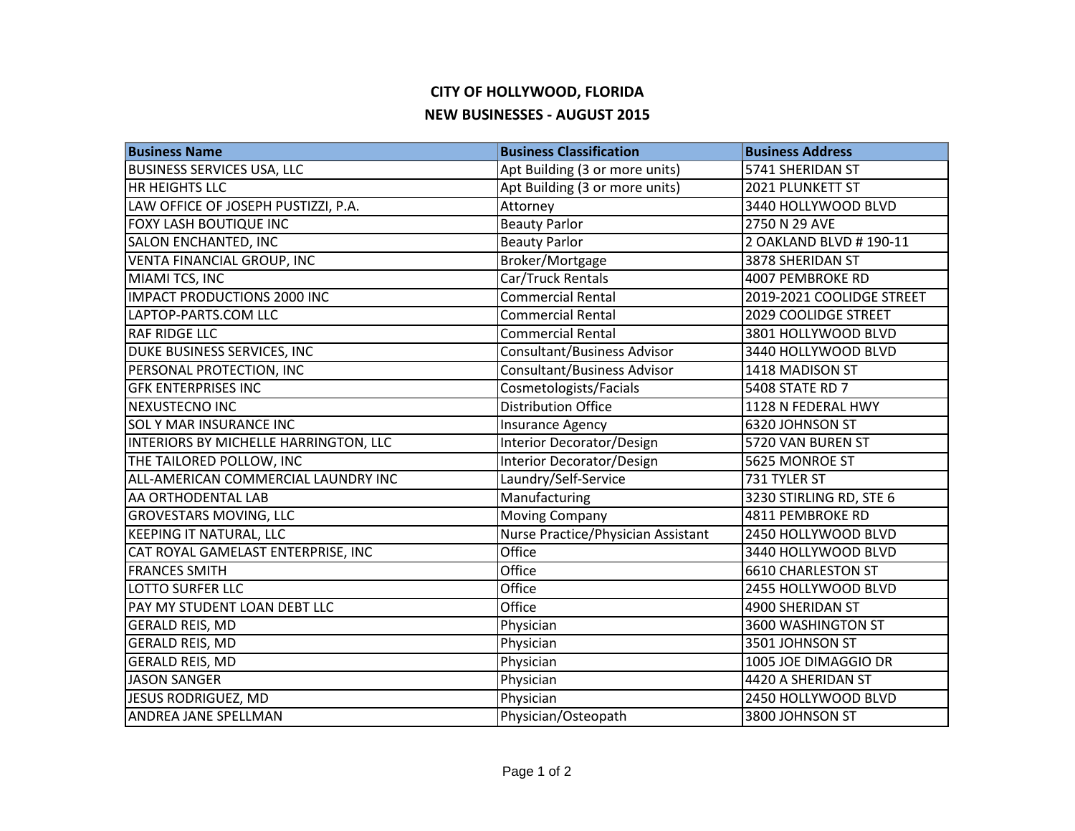## **CITY OF HOLLYWOOD, FLORIDA NEW BUSINESSES - AUGUST 2015**

| <b>Business Name</b>                  | <b>Business Classification</b>     | <b>Business Address</b>   |
|---------------------------------------|------------------------------------|---------------------------|
| <b>BUSINESS SERVICES USA, LLC</b>     | Apt Building (3 or more units)     | 5741 SHERIDAN ST          |
| <b>HR HEIGHTS LLC</b>                 | Apt Building (3 or more units)     | 2021 PLUNKETT ST          |
| LAW OFFICE OF JOSEPH PUSTIZZI, P.A.   | Attorney                           | 3440 HOLLYWOOD BLVD       |
| FOXY LASH BOUTIQUE INC                | <b>Beauty Parlor</b>               | 2750 N 29 AVE             |
| SALON ENCHANTED, INC                  | <b>Beauty Parlor</b>               | 2 OAKLAND BLVD # 190-11   |
| VENTA FINANCIAL GROUP, INC            | Broker/Mortgage                    | 3878 SHERIDAN ST          |
| MIAMI TCS, INC                        | Car/Truck Rentals                  | 4007 PEMBROKE RD          |
| <b>IMPACT PRODUCTIONS 2000 INC</b>    | <b>Commercial Rental</b>           | 2019-2021 COOLIDGE STREET |
| LAPTOP-PARTS.COM LLC                  | <b>Commercial Rental</b>           | 2029 COOLIDGE STREET      |
| <b>RAF RIDGE LLC</b>                  | <b>Commercial Rental</b>           | 3801 HOLLYWOOD BLVD       |
| DUKE BUSINESS SERVICES, INC           | <b>Consultant/Business Advisor</b> | 3440 HOLLYWOOD BLVD       |
| PERSONAL PROTECTION, INC              | <b>Consultant/Business Advisor</b> | 1418 MADISON ST           |
| <b>GFK ENTERPRISES INC</b>            | Cosmetologists/Facials             | 5408 STATE RD 7           |
| NEXUSTECNO INC                        | <b>Distribution Office</b>         | 1128 N FEDERAL HWY        |
| <b>SOL Y MAR INSURANCE INC</b>        | <b>Insurance Agency</b>            | 6320 JOHNSON ST           |
| INTERIORS BY MICHELLE HARRINGTON, LLC | Interior Decorator/Design          | 5720 VAN BUREN ST         |
| THE TAILORED POLLOW, INC              | Interior Decorator/Design          | 5625 MONROE ST            |
| ALL-AMERICAN COMMERCIAL LAUNDRY INC   | Laundry/Self-Service               | 731 TYLER ST              |
| AA ORTHODENTAL LAB                    | Manufacturing                      | 3230 STIRLING RD, STE 6   |
| <b>GROVESTARS MOVING, LLC</b>         | <b>Moving Company</b>              | 4811 PEMBROKE RD          |
| <b>KEEPING IT NATURAL, LLC</b>        | Nurse Practice/Physician Assistant | 2450 HOLLYWOOD BLVD       |
| CAT ROYAL GAMELAST ENTERPRISE, INC    | Office                             | 3440 HOLLYWOOD BLVD       |
| <b>FRANCES SMITH</b>                  | Office                             | <b>6610 CHARLESTON ST</b> |
| <b>LOTTO SURFER LLC</b>               | Office                             | 2455 HOLLYWOOD BLVD       |
| PAY MY STUDENT LOAN DEBT LLC          | Office                             | 4900 SHERIDAN ST          |
| <b>GERALD REIS, MD</b>                | Physician                          | 3600 WASHINGTON ST        |
| <b>GERALD REIS, MD</b>                | Physician                          | 3501 JOHNSON ST           |
| <b>GERALD REIS, MD</b>                | Physician                          | 1005 JOE DIMAGGIO DR      |
| <b>JASON SANGER</b>                   | Physician                          | 4420 A SHERIDAN ST        |
| JESUS RODRIGUEZ, MD                   | Physician                          | 2450 HOLLYWOOD BLVD       |
| ANDREA JANE SPELLMAN                  | Physician/Osteopath                | 3800 JOHNSON ST           |